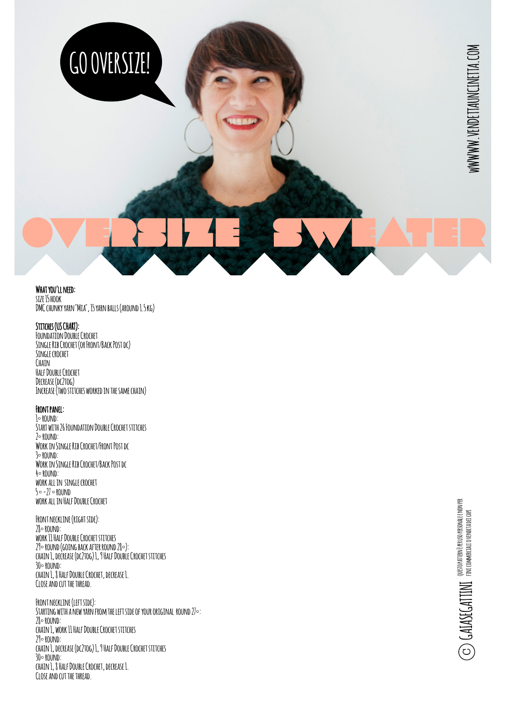

#### **What you'll need:**

**size 15 hook DMC chunky yarn "Mia", 15 yarn balls (around 1.5 kg)**

**GO OVERSIZE!**

#### **Stitches (US CHART):**

**Foundation Double Crochet Single Rib Crochet (or Front/Back Post dc) Single crochet Chain Half Double Crochet Decrease (dc2tog) Increase (two stitches worked in the same chain)**

#### **Front panel:**

**1° round: Start with 26 Foundation Double Crochet stitches 2° round: Work in Single Rib Crochet/Front Post dc 3° round: Work in Single Rib Crochet/Back Post dc 4° round: work all in single crochet 5 ° -27 ° round work all in Half Double Crochet**

**Front neckline (right side): 28° round: work 11 Half Double Crochet stitches 29° round (going back after round 28°): chain 1, decrease (dc2tog) 1, 9 Half Double Crochet stitches 30° round: chain 1, 8 Half Double Crochet, decrease 1. Close and cut the thread.**

**Front neckline (left side):** STARTING WITH A NEW YARN FROM THE LEFT SIDE OF YOUR ORIGINAL ROUND 27°: **28° round: chain 1, work 11 Half Double Crochet stitches 29° round: chain 1, decrease (dc2tog) 1, 9 Half Double Crochet stitches 30° round: chain 1, 8 Half Double Crochet, decrease 1. Close and cut the thread.**

WWWW.VENDETTAUNCINETTA.COM **wWWWW.VENDETTAUNCINETTA.COM**